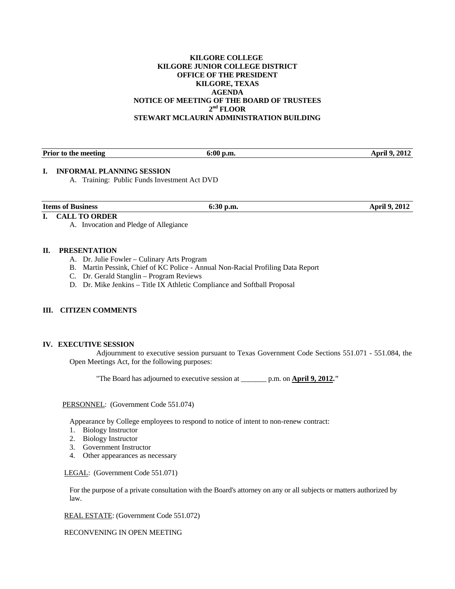### **KILGORE COLLEGE KILGORE JUNIOR COLLEGE DISTRICT OFFICE OF THE PRESIDENT KILGORE, TEXAS AGENDA NOTICE OF MEETING OF THE BOARD OF TRUSTEES 2nd FLOOR STEWART MCLAURIN ADMINISTRATION BUILDING**

| <b>Prior to the meeting</b><br>6:00 p.m. | <b>April 9, 2012</b> |
|------------------------------------------|----------------------|

# **I. INFORMAL PLANNING SESSION**

A. Training: Public Funds Investment Act DVD

# **I. CALL TO ORDER**

A. Invocation and Pledge of Allegiance

### **II. PRESENTATION**

- A. Dr. Julie Fowler Culinary Arts Program
- B. Martin Pessink, Chief of KC Police Annual Non-Racial Profiling Data Report
- C. Dr. Gerald Stanglin Program Reviews
- D. Dr. Mike Jenkins Title IX Athletic Compliance and Softball Proposal

# **III. CITIZEN COMMENTS**

#### **IV. EXECUTIVE SESSION**

 Adjournment to executive session pursuant to Texas Government Code Sections 551.071 - 551.084, the Open Meetings Act, for the following purposes:

"The Board has adjourned to executive session at \_\_\_\_\_\_\_ p.m. on **April 9, 2012."** 

#### PERSONNEL: (Government Code 551.074)

Appearance by College employees to respond to notice of intent to non-renew contract:

- 1. Biology Instructor
- 2. Biology Instructor
- 3. Government Instructor
- 4. Other appearances as necessary

#### LEGAL: (Government Code 551.071)

 For the purpose of a private consultation with the Board's attorney on any or all subjects or matters authorized by law.

REAL ESTATE: (Government Code 551.072)

RECONVENING IN OPEN MEETING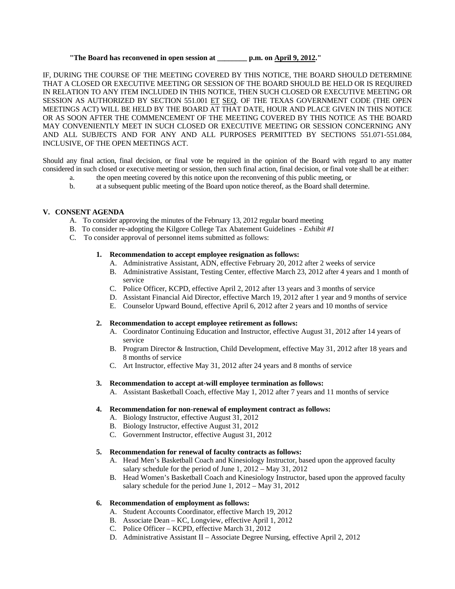# **"The Board has reconvened in open session at \_\_\_\_\_\_\_\_ p.m. on April 9, 2012."**

IF, DURING THE COURSE OF THE MEETING COVERED BY THIS NOTICE, THE BOARD SHOULD DETERMINE THAT A CLOSED OR EXECUTIVE MEETING OR SESSION OF THE BOARD SHOULD BE HELD OR IS REQUIRED IN RELATION TO ANY ITEM INCLUDED IN THIS NOTICE, THEN SUCH CLOSED OR EXECUTIVE MEETING OR SESSION AS AUTHORIZED BY SECTION 551.001 ET SEQ. OF THE TEXAS GOVERNMENT CODE (THE OPEN MEETINGS ACT) WILL BE HELD BY THE BOARD AT THAT DATE, HOUR AND PLACE GIVEN IN THIS NOTICE OR AS SOON AFTER THE COMMENCEMENT OF THE MEETING COVERED BY THIS NOTICE AS THE BOARD MAY CONVENIENTLY MEET IN SUCH CLOSED OR EXECUTIVE MEETING OR SESSION CONCERNING ANY AND ALL SUBJECTS AND FOR ANY AND ALL PURPOSES PERMITTED BY SECTIONS 551.071-551.084, INCLUSIVE, OF THE OPEN MEETINGS ACT.

Should any final action, final decision, or final vote be required in the opinion of the Board with regard to any matter considered in such closed or executive meeting or session, then such final action, final decision, or final vote shall be at either:

- a. the open meeting covered by this notice upon the reconvening of this public meeting, or
- b. at a subsequent public meeting of the Board upon notice thereof, as the Board shall determine.

### **V. CONSENT AGENDA**

- A. To consider approving the minutes of the February 13, 2012 regular board meeting
- B. To consider re-adopting the Kilgore College Tax Abatement Guidelines *Exhibit #1*
- C. To consider approval of personnel items submitted as follows:

### **1. Recommendation to accept employee resignation as follows:**

- A. Administrative Assistant, ADN, effective February 20, 2012 after 2 weeks of service
- B. Administrative Assistant, Testing Center, effective March 23, 2012 after 4 years and 1 month of service
- C. Police Officer, KCPD, effective April 2, 2012 after 13 years and 3 months of service
- D. Assistant Financial Aid Director, effective March 19, 2012 after 1 year and 9 months of service
- E. Counselor Upward Bound, effective April 6, 2012 after 2 years and 10 months of service

# **2. Recommendation to accept employee retirement as follows:**

- A. Coordinator Continuing Education and Instructor, effective August 31, 2012 after 14 years of service
- B. Program Director & Instruction, Child Development, effective May 31, 2012 after 18 years and 8 months of service
- C. Art Instructor, effective May 31, 2012 after 24 years and 8 months of service

#### **3. Recommendation to accept at-will employee termination as follows:**

A. Assistant Basketball Coach, effective May 1, 2012 after 7 years and 11 months of service

# **4. Recommendation for non-renewal of employment contract as follows:**

- A. Biology Instructor, effective August 31, 2012
- B. Biology Instructor, effective August 31, 2012
- C. Government Instructor, effective August 31, 2012

# **5. Recommendation for renewal of faculty contracts as follows:**

- A. Head Men's Basketball Coach and Kinesiology Instructor, based upon the approved faculty salary schedule for the period of June 1, 2012 – May 31, 2012
- B. Head Women's Basketball Coach and Kinesiology Instructor, based upon the approved faculty salary schedule for the period June 1, 2012 – May 31, 2012

# **6. Recommendation of employment as follows:**

- A. Student Accounts Coordinator, effective March 19, 2012
- B. Associate Dean KC, Longview, effective April 1, 2012
- C. Police Officer KCPD, effective March 31, 2012
- D. Administrative Assistant II Associate Degree Nursing, effective April 2, 2012